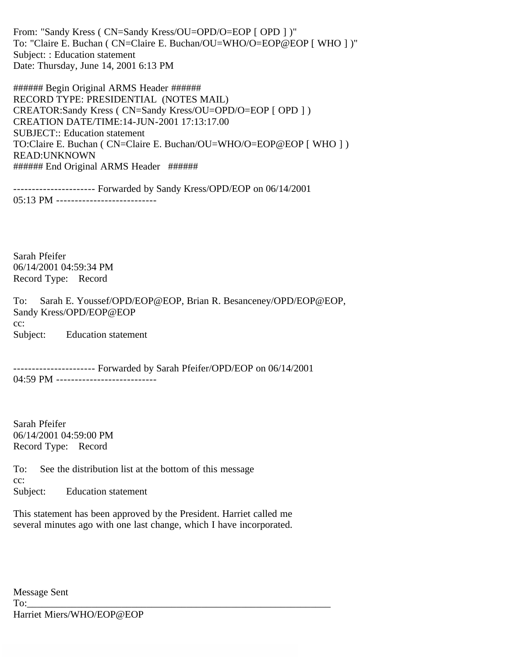From: "Sandy Kress ( CN=Sandy Kress/OU=OPD/O=EOP [ OPD ] )" To: "Claire E. Buchan ( CN=Claire E. Buchan/OU=WHO/O=EOP@EOP [ WHO ] )" Subject: : Education statement Date: Thursday, June 14, 2001 6:13 PM

###### Begin Original ARMS Header ###### RECORD TYPE: PRESIDENTIAL (NOTES MAIL) CREATOR:Sandy Kress ( CN=Sandy Kress/OU=OPD/O=EOP [ OPD ] ) CREATION DATE/TIME:14-JUN-2001 17:13:17.00 SUBJECT:: Education statement TO:Claire E. Buchan ( CN=Claire E. Buchan/OU=WHO/O=EOP@EOP [ WHO ] ) READ:UNKNOWN ###### End Original ARMS Header ######

---------------------- Forwarded by Sandy Kress/OPD/EOP on 06/14/2001 05:13 PM -----------------------------

Sarah Pfeifer 06/14/2001 04:59:34 PM Record Type: Record

To: Sarah E. Youssef/OPD/EOP@EOP, Brian R. Besanceney/OPD/EOP@EOP, Sandy Kress/OPD/EOP@EOP cc: Subject: Education statement

---------------------- Forwarded by Sarah Pfeifer/OPD/EOP on 06/14/2001 04:59 PM ------------------------------

Sarah Pfeifer 06/14/2001 04:59:00 PM Record Type: Record

To: See the distribution list at the bottom of this message cc: Subject: Education statement

This statement has been approved by the President. Harriet called me several minutes ago with one last change, which I have incorporated.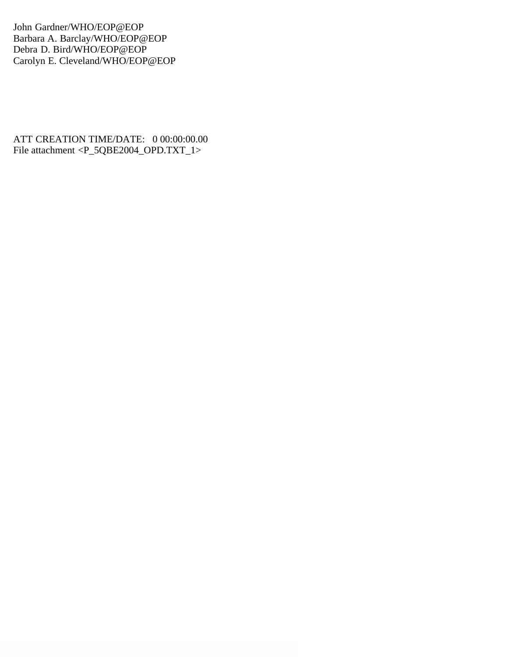John Gardner/WHO/EOP@EOP Barbara A. Barclay/WHO/EOP@EOP Debra D. Bird/WHO/EOP@EOP Carolyn E. Cleveland/WHO/EOP@EOP

ATT CREATION TIME/DATE: 0 00:00:00.00 File attachment <P\_5QBE2004\_OPD.TXT\_1>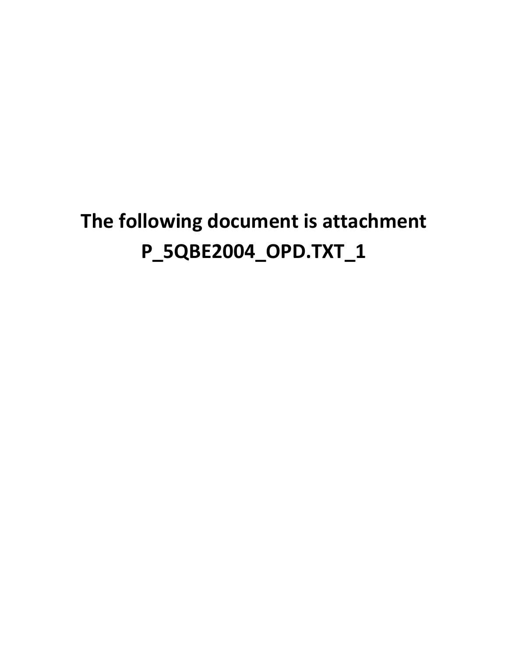## **The following document is attachment P\_5QBE2004\_OPD.TXT\_1**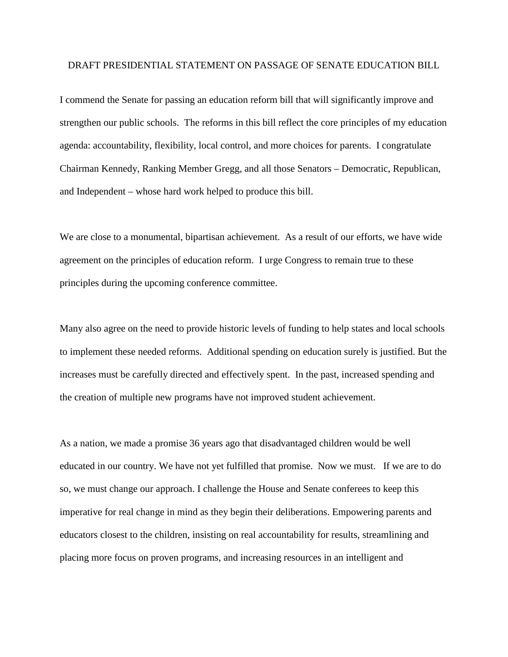## DRAFT PRESIDENTIAL STATEMENT ON PASSAGE OF SENATE EDUCATION BILL

I commend the Senate for passing an education reform bill that will significantly improve and strengthen our public schools. The reforms in this bill reflect the core principles of my education agenda: accountability, flexibility, local control, and more choices for parents. I congratulate Chairman Kennedy, Ranking Member Gregg, and all those Senators – Democratic, Republican, and Independent – whose hard work helped to produce this bill.

We are close to a monumental, bipartisan achievement. As a result of our efforts, we have wide agreement on the principles of education reform. I urge Congress to remain true to these principles during the upcoming conference committee.

Many also agree on the need to provide historic levels of funding to help states and local schools to implement these needed reforms. Additional spending on education surely is justified. But the increases must be carefully directed and effectively spent. In the past, increased spending and the creation of multiple new programs have not improved student achievement.

As a nation, we made a promise 36 years ago that disadvantaged children would be well educated in our country. We have not yet fulfilled that promise. Now we must. If we are to do so, we must change our approach. I challenge the House and Senate conferees to keep this imperative for real change in mind as they begin their deliberations. Empowering parents and educators closest to the children, insisting on real accountability for results, streamlining and placing more focus on proven programs, and increasing resources in an intelligent and